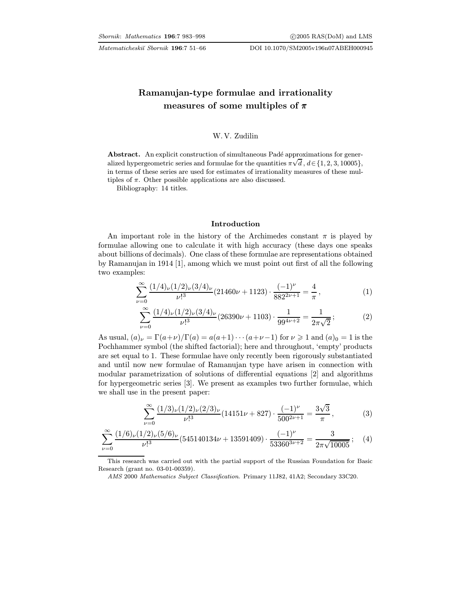# Ramanujan-type formulae and irrationality measures of some multiples of  $\pi$

# W. V. Zudilin

Abstract. An explicit construction of simultaneous Padé approximations for generalized hypergeometric series and formulae for the quantities  $\pi \sqrt{d}$ ,  $d \in \{1, 2, 3, 10005\}$ , in terms of these series are used for estimates of irrationality measures of these multiples of  $\pi$ . Other possible applications are also discussed.

Bibliography: 14 titles.

#### Introduction

An important role in the history of the Archimedes constant  $\pi$  is played by formulae allowing one to calculate it with high accuracy (these days one speaks about billions of decimals). One class of these formulae are representations obtained by Ramanujan in 1914 [\[1\],](#page-14-0) among which we must point out first of all the following two examples:

$$
\sum_{\nu=0}^{\infty} \frac{(1/4)_{\nu} (1/2)_{\nu} (3/4)_{\nu}}{\nu!^{3}} (21460\nu + 1123) \cdot \frac{(-1)^{\nu}}{882^{2\nu+1}} = \frac{4}{\pi},
$$
 (1)

$$
\sum_{\nu=0}^{\infty} \frac{(1/4)_{\nu} (1/2)_{\nu} (3/4)_{\nu}}{\nu!^3} (26390\nu + 1103) \cdot \frac{1}{99^{4\nu+2}} = \frac{1}{2\pi\sqrt{2}}; \tag{2}
$$

As usual,  $(a)_\nu = \Gamma(a+\nu)/\Gamma(a) = a(a+1)\cdots(a+\nu-1)$  for  $\nu \geq 1$  and  $(a)_0 = 1$  is the Pochhammer symbol (the shifted factorial); here and throughout, 'empty' products are set equal to 1. These formulae have only recently been rigorously substantiated and until now new formulae of Ramanujan type have arisen in connection with modular parametrization of solutions of differential equations [\[2\]](#page-14-0) and algorithms for hypergeometric series [\[3\].](#page-14-0) We present as examples two further formulae, which we shall use in the present paper:

$$
\sum_{\nu=0}^{\infty} \frac{(1/3)_{\nu} (1/2)_{\nu} (2/3)_{\nu}}{\nu!^{3}} (14151\nu+827) \cdot \frac{(-1)^{\nu}}{500^{2\nu+1}} = \frac{3\sqrt{3}}{\pi},
$$
 (3)

$$
\sum_{\nu=0}^{\infty} \frac{(1/6)_{\nu} (1/2)_{\nu} (5/6)_{\nu}}{\nu!^{3}} (545140134\nu + 13591409) \cdot \frac{(-1)^{\nu}}{53360^{3\nu+2}} = \frac{3}{2\pi\sqrt{10005}} ; \quad (4)
$$

This research was carried out with the partial support of the Russian Foundation for Basic Research (grant no. 03-01-00359).

AMS 2000 Mathematics Subject Classification. Primary 11J82, 41A2; Secondary 33C20.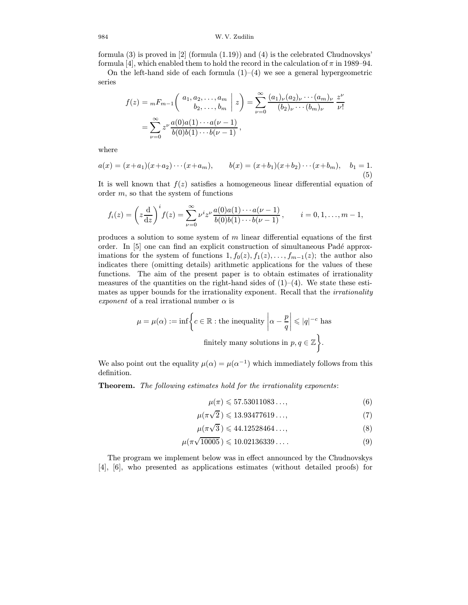## 984 W. V. Zudilin

formula (3) is proved in [\[2\]](#page-14-0) (formula (1.19)) and (4) is the celebrated Chudnovskys' formula [\[4\],](#page-14-0) which enabled them to hold the record in the calculation of  $\pi$  in 1989–94.

On the left-hand side of each formula  $(1)$ – $(4)$  we see a general hypergeometric series

$$
f(z) = {}_mF_{m-1}\left(\begin{array}{c} a_1, a_2, \dots, a_m \\ b_2, \dots, b_m \end{array} \middle| z\right) = \sum_{\nu=0}^{\infty} \frac{(a_1)_{\nu}(a_2)_{\nu} \cdots (a_m)_{\nu}}{(b_2)_{\nu} \cdots (b_m)_{\nu}} \frac{z^{\nu}}{\nu!}
$$

$$
= \sum_{\nu=0}^{\infty} z^{\nu} \frac{a(0)a(1) \cdots a(\nu-1)}{b(0)b(1) \cdots b(\nu-1)},
$$

where

$$
a(x) = (x+a_1)(x+a_2)\cdots(x+a_m), \qquad b(x) = (x+b_1)(x+b_2)\cdots(x+b_m), \quad b_1 = 1.
$$
\n(5)

It is well known that  $f(z)$  satisfies a homogeneous linear differential equation of order  $m$ , so that the system of functions

$$
f_i(z) = \left(z\frac{d}{dz}\right)^i f(z) = \sum_{\nu=0}^{\infty} \nu^i z^{\nu} \frac{a(0)a(1)\cdots a(\nu-1)}{b(0)b(1)\cdots b(\nu-1)}, \qquad i = 0, 1, \ldots, m-1,
$$

produces a solution to some system of m linear differential equations of the first order. In [\[5\]](#page-14-0) one can find an explicit construction of simultaneous Padé approximations for the system of functions  $1, f_0(z), f_1(z), \ldots, f_{m-1}(z)$ ; the author also indicates there (omitting details) arithmetic applications for the values of these functions. The aim of the present paper is to obtain estimates of irrationality measures of the quantities on the right-hand sides of  $(1)-(4)$ . We state these estimates as upper bounds for the irrationality exponent. Recall that the *irrationality* exponent of a real irrational number  $\alpha$  is

$$
\mu = \mu(\alpha) := \inf \bigg\{ c \in \mathbb{R} : \text{the inequality } \bigg| \alpha - \frac{p}{q} \bigg| \leqslant |q|^{-c} \text{ has}
$$
\n
$$
\text{finitely many solutions in } p, q \in \mathbb{Z} \bigg\}.
$$

We also point out the equality  $\mu(\alpha) = \mu(\alpha^{-1})$  which immediately follows from this definition.

Theorem. The following estimates hold for the irrationality exponents:

$$
\mu(\pi) \leqslant 57.53011083\ldots,\tag{6}
$$

$$
\mu(\pi\sqrt{2}) \leqslant 13.93477619\ldots,\t(7)
$$

$$
\mu(\pi\sqrt{3}) \leqslant 44.12528464\ldots,\tag{8}
$$

$$
\mu(\pi\sqrt{10005}) \leqslant 10.02136339\ldots \tag{9}
$$

The program we implement below was in effect announced by the Chudnovskys [\[4\], \[6\],](#page-14-0) who presented as applications estimates (without detailed proofs) for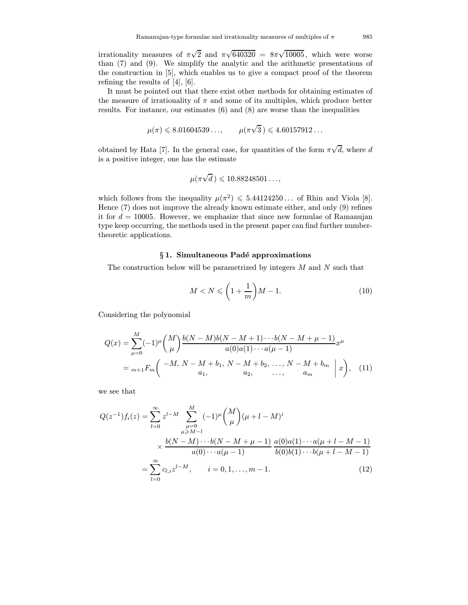irrationality measures of  $\pi$ √ 2 and  $\pi$ √  $\sqrt{640320} = 8\pi \sqrt{10005}$ , which were worse than (7) and (9). We simplify the analytic and the arithmetic presentations of the construction in [\[5\],](#page-14-0) which enables us to give a compact proof of the theorem refining the results of [\[4\], \[6\].](#page-14-0)

It must be pointed out that there exist other methods for obtaining estimates of the measure of irrationality of  $\pi$  and some of its multiples, which produce better results. For instance, our estimates (6) and (8) are worse than the inequalities

$$
\mu(\pi) \leq 8.01604539...,
$$
\n $\mu(\pi\sqrt{3}) \leq 4.60157912...$ 

obtained by Hata [\[7\]](#page-15-0). In the general case, for quantities of the form  $\pi$ √ d, where d is a positive integer, one has the estimate

$$
\mu(\pi\sqrt{d}\,)\leqslant 10.88248501\ldots,
$$

which follows from the inequality  $\mu(\pi^2) \leq 5.44124250...$  of Rhin and Viola [\[8\].](#page-15-0) Hence (7) does not improve the already known estimate either, and only (9) refines it for  $d = 10005$ . However, we emphasize that since new formulae of Ramanujan type keep occurring, the methods used in the present paper can find further numbertheoretic applications.

# § 1. Simultaneous Padé approximations

The construction below will be parametrized by integers  $M$  and  $N$  such that

$$
M < N \leqslant \left(1 + \frac{1}{m}\right)M - 1.\tag{10}
$$

Considering the polynomial

$$
Q(x) = \sum_{\mu=0}^{M} (-1)^{\mu} {M \choose \mu} \frac{b(N-M)b(N-M+1)\cdots b(N-M+\mu-1)}{a(0)a(1)\cdots a(\mu-1)} x^{\mu}
$$
  
=  $m+1F_m \left( \begin{array}{c} -M, N-M+b_1, N-M+b_2, \ldots, N-M+b_m \\ a_1, a_2, \ldots, a_m \end{array} \middle| x \right), (11)$ 

we see that

$$
Q(z^{-1})f_i(z) = \sum_{l=0}^{\infty} z^{l-M} \sum_{\substack{\mu=0 \ \mu \ge M-l}}^{M} (-1)^{\mu} {M \choose \mu} (\mu + l - M)^i
$$
  
 
$$
\times \frac{b(N-M)\cdots b(N-M+\mu-1)}{a(0)\cdots a(\mu-1)} \frac{a(0)a(1)\cdots a(\mu+l-M-1)}{b(0)b(1)\cdots b(\mu+l-M-1)}
$$
  
= 
$$
\sum_{l=0}^{\infty} c_{l,i} z^{l-M}, \qquad i = 0, 1, \dots, m-1.
$$
 (12)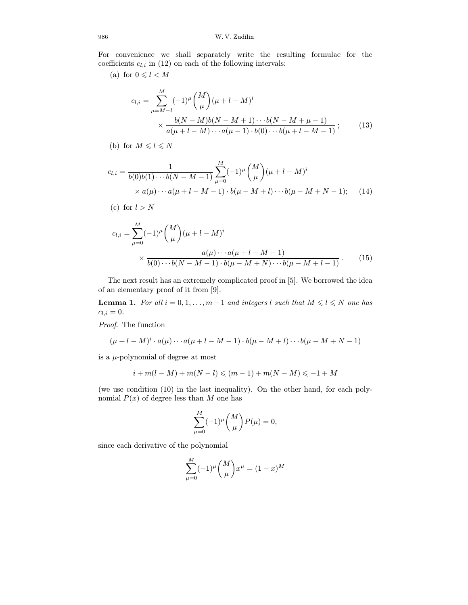For convenience we shall separately write the resulting formulae for the coefficients  $c_{l,i}$  in (12) on each of the following intervals:

(a) for  $0 \leq l < M$ 

$$
c_{l,i} = \sum_{\mu=M-l}^{M} (-1)^{\mu} {M \choose \mu} (\mu + l - M)^{i}
$$
  
 
$$
\times \frac{b(N-M)b(N-M+1)\cdots b(N-M+\mu-1)}{a(\mu+l-M)\cdots a(\mu-1)\cdot b(0)\cdots b(\mu+l-M-1)}; \qquad (13)
$$

(b) for  $M \leqslant l \leqslant N$ 

$$
c_{l,i} = \frac{1}{b(0)b(1)\cdots b(N-M-1)} \sum_{\mu=0}^{M} (-1)^{\mu} {M \choose \mu} (\mu+l-M)^{i}
$$
  
×  $a(\mu)\cdots a(\mu+l-M-1) \cdot b(\mu-M+l)\cdots b(\mu-M+N-1);$  (14)

(c) for 
$$
l > N
$$

$$
c_{l,i} = \sum_{\mu=0}^{M} (-1)^{\mu} {M \choose \mu} (\mu + l - M)^{i}
$$
  
 
$$
\times \frac{a(\mu) \cdots a(\mu + l - M - 1)}{b(0) \cdots b(N - M - 1) \cdot b(\mu - M + N) \cdots b(\mu - M + l - 1)}.
$$
 (15)

The next result has an extremely complicated proof in [\[5\]](#page-14-0). We borrowed the idea of an elementary proof of it from [\[9\].](#page-15-0)

**Lemma 1.** For all  $i = 0, 1, ..., m-1$  and integers l such that  $M \leq l \leq N$  one has  $c_{l,i} = 0.$ 

Proof. The function

$$
(\mu + l - M)^{i} \cdot a(\mu) \cdots a(\mu + l - M - 1) \cdot b(\mu - M + l) \cdots b(\mu - M + N - 1)
$$

is a  $\mu$ -polynomial of degree at most

$$
i + m(l - M) + m(N - l) \leq (m - 1) + m(N - M) \leq -1 + M
$$

(we use condition (10) in the last inequality). On the other hand, for each polynomial  $P(x)$  of degree less than M one has

$$
\sum_{\mu=0}^{M} (-1)^{\mu} {M \choose \mu} P(\mu) = 0,
$$

since each derivative of the polynomial

$$
\sum_{\mu=0}^{M} (-1)^{\mu} {M \choose \mu} x^{\mu} = (1-x)^M
$$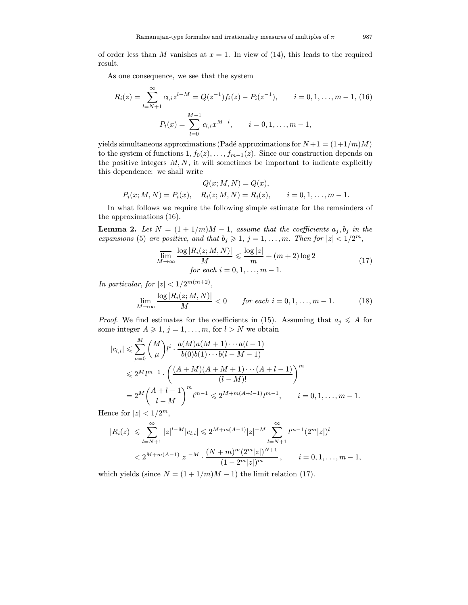of order less than M vanishes at  $x = 1$ . In view of (14), this leads to the required result.

As one consequence, we see that the system

$$
R_i(z) = \sum_{l=N+1}^{\infty} c_{l,i} z^{l-M} = Q(z^{-1}) f_i(z) - P_i(z^{-1}), \qquad i = 0, 1, ..., m-1, (16)
$$

$$
P_i(x) = \sum_{l=0}^{M-1} c_{l,i} x^{M-l}, \qquad i = 0, 1, ..., m-1,
$$

yields simultaneous approximations (Padé approximations for  $N+1 = (1+1/m)M$ ) to the system of functions  $1, f_0(z), \ldots, f_{m-1}(z)$ . Since our construction depends on the positive integers  $M, N$ , it will sometimes be important to indicate explicitly this dependence: we shall write

$$
Q(x; M, N) = Q(x),
$$
  
\n
$$
P_i(x; M, N) = P_i(x), \quad R_i(z; M, N) = R_i(z), \quad i = 0, 1, ..., m - 1.
$$

In what follows we require the following simple estimate for the remainders of the approximations (16).

**Lemma 2.** Let  $N = (1 + 1/m)M - 1$ , assume that the coefficients  $a_j, b_j$  in the expansions (5) are positive, and that  $b_j \geq 1$ ,  $j = 1, \ldots, m$ . Then for  $|z| < 1/2^m$ ,

$$
\overline{\lim}_{M \to \infty} \frac{\log |R_i(z; M, N)|}{M} \leq \frac{\log |z|}{m} + (m+2) \log 2
$$
\n
$$
\text{for each } i = 0, 1, \dots, m-1.
$$
\n(17)

In particular, for  $|z| < 1/2^{m(m+2)}$ ,

$$
\overline{\lim}_{M \to \infty} \frac{\log |R_i(z; M, N)|}{M} < 0 \qquad \text{for each } i = 0, 1, \dots, m - 1. \tag{18}
$$

*Proof.* We find estimates for the coefficients in (15). Assuming that  $a_j \leqslant A$  for some integer  $A \geq 1$ ,  $j = 1, ..., m$ , for  $l > N$  we obtain

$$
|c_{l,i}| \leqslant \sum_{\mu=0}^{M} {M \choose \mu} l^i \cdot \frac{a(M)a(M+1)\cdots a(l-1)}{b(0)b(1)\cdots b(l-M-1)}
$$
  

$$
\leqslant 2^M l^{m-1} \cdot \left(\frac{(A+M)(A+M+1)\cdots(A+l-1)}{(l-M)!}\right)^m
$$
  

$$
= 2^M {A+l-1 \choose l-M}^m l^{m-1} \leqslant 2^{M+m(A+l-1)} l^{m-1}, \qquad i=0,1,\ldots,m-1.
$$

Hence for  $|z| < 1/2^m$ ,

$$
|R_i(z)| \leqslant \sum_{l=N+1}^{\infty} |z|^{l-M} |c_{l,i}| \leqslant 2^{M+m(A-1)} |z|^{-M} \sum_{l=N+1}^{\infty} l^{m-1} (2^m |z|)^l
$$
  

$$
< 2^{M+m(A-1)} |z|^{-M} \cdot \frac{(N+m)^m (2^m |z|)^{N+1}}{(1-2^m |z|)^m}, \qquad i=0,1,\ldots,m-1,
$$

which yields (since  $N = (1 + 1/m)M - 1$ ) the limit relation (17).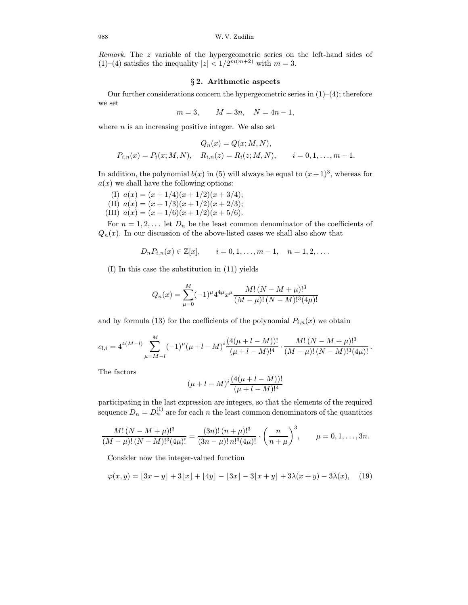Remark. The z variable of the hypergeometric series on the left-hand sides of (1)–(4) satisfies the inequality  $|z| < 1/2^{m(m+2)}$  with  $m = 3$ .

#### § 2. Arithmetic aspects

Our further considerations concern the hypergeometric series in  $(1)$ – $(4)$ ; therefore we set

$$
m=3, \qquad M=3n, \quad N=4n-1,
$$

where  $n$  is an increasing positive integer. We also set

$$
Q_n(x) = Q(x; M, N),
$$
  
\n
$$
P_{i,n}(x) = P_i(x; M, N), \quad R_{i,n}(z) = R_i(z; M, N), \quad i = 0, 1, ..., m - 1.
$$

In addition, the polynomial  $b(x)$  in (5) will always be equal to  $(x+1)^3$ , whereas for  $a(x)$  we shall have the following options:

(I)  $a(x) = (x + 1/4)(x + 1/2)(x + 3/4);$ (II)  $a(x) = (x + 1/3)(x + 1/2)(x + 2/3);$ (III)  $a(x) = (x + 1/6)(x + 1/2)(x + 5/6).$ 

For  $n = 1, 2, \ldots$  let  $D_n$  be the least common denominator of the coefficients of  $Q_n(x)$ . In our discussion of the above-listed cases we shall also show that

$$
D_n P_{i,n}(x) \in \mathbb{Z}[x],
$$
   
  $i = 0, 1, ..., m - 1, n = 1, 2, ...$ 

(I) In this case the substitution in (11) yields

$$
Q_n(x) = \sum_{\mu=0}^{M} (-1)^{\mu} 4^{4\mu} x^{\mu} \frac{M! (N - M + \mu)!^3}{(M - \mu)! (N - M)!^3 (4\mu)!}
$$

and by formula (13) for the coefficients of the polynomial  $P_{i,n}(x)$  we obtain

$$
c_{l,i} = 4^{4(M-l)} \sum_{\mu=M-l}^{M} (-1)^{\mu} (\mu+l-M)^{i} \frac{(4(\mu+l-M))!}{(\mu+l-M)!^{4}} \cdot \frac{M! (N-M+\mu)!^{3}}{(M-\mu)!(N-M)!^{3}(4\mu)!}.
$$

The factors

$$
(\mu + l - M)^{i} \frac{(4(\mu + l - M))!}{(\mu + l - M)!^{4}}
$$

participating in the last expression are integers, so that the elements of the required sequence  $D_n = D_n^{(1)}$  are for each n the least common denominators of the quantities

$$
\frac{M!\,(N-M+\mu)!^3}{(M-\mu)!\,(N-M)!^3(4\mu)!} = \frac{(3n)!\,(n+\mu)!^3}{(3n-\mu)!\,n!^3(4\mu)!} \cdot \left(\frac{n}{n+\mu}\right)^3, \qquad \mu=0,1,\ldots,3n.
$$

Consider now the integer-valued function

$$
\varphi(x,y) = [3x - y] + 3\lfloor x \rfloor + \lfloor 4y \rfloor - \lfloor 3x \rfloor - 3\lfloor x + y \rfloor + 3\lambda(x+y) - 3\lambda(x), \quad (19)
$$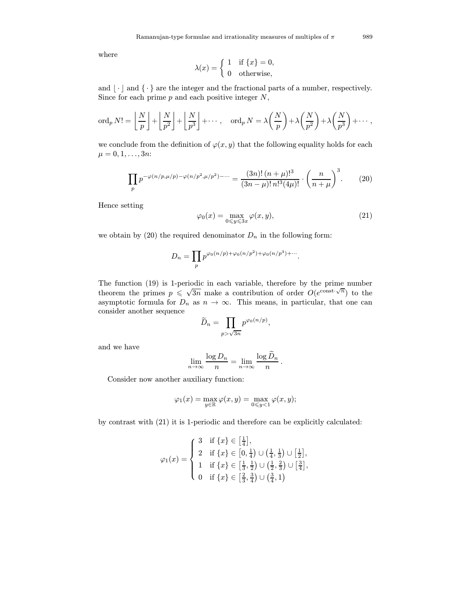where

$$
\lambda(x) = \begin{cases} 1 & \text{if } \{x\} = 0, \\ 0 & \text{otherwise,} \end{cases}
$$

and  $\lfloor \cdot \rfloor$  and  $\{\cdot\}$  are the integer and the fractional parts of a number, respectively. Since for each prime  $p$  and each positive integer  $N$ ,

$$
\operatorname{ord}_p N! = \left\lfloor \frac{N}{p} \right\rfloor + \left\lfloor \frac{N}{p^2} \right\rfloor + \left\lfloor \frac{N}{p^3} \right\rfloor + \cdots, \quad \operatorname{ord}_p N = \lambda \left( \frac{N}{p} \right) + \lambda \left( \frac{N}{p^2} \right) + \lambda \left( \frac{N}{p^3} \right) + \cdots,
$$

we conclude from the definition of  $\varphi(x, y)$  that the following equality holds for each  $\mu = 0, 1, \ldots, 3n$ :

$$
\prod_{p} p^{-\varphi(n/p,\mu/p) - \varphi(n/p^2,\mu/p^2) - \cdots} = \frac{(3n)! (n+\mu)!^3}{(3n-\mu)! n!^3 (4\mu)!} \cdot \left(\frac{n}{n+\mu}\right)^3. \tag{20}
$$

Hence setting

$$
\varphi_0(x) = \max_{0 \le y \le 3x} \varphi(x, y),\tag{21}
$$

we obtain by (20) the required denominator  $D_n$  in the following form:

$$
D_n = \prod_p p^{\varphi_0(n/p) + \varphi_0(n/p^2) + \varphi_0(n/p^3) + \cdots}.
$$

The function (19) is 1-periodic in each variable, therefore by the prime number theorem the primes  $p \leq \sqrt{3n}$  make a contribution of order  $O(e^{\text{const.}\sqrt{n}})$  to the asymptotic formula for  $D_n$  as  $n \to \infty$ . This means, in particular, that one can consider another sequence

$$
\widetilde{D}_n = \prod_{p > \sqrt{3n}} p^{\varphi_0(n/p)},
$$

and we have

$$
\lim_{n \to \infty} \frac{\log D_n}{n} = \lim_{n \to \infty} \frac{\log \widetilde{D}_n}{n}.
$$

Consider now another auxiliary function:

$$
\varphi_1(x) = \max_{y \in \mathbb{R}} \varphi(x, y) = \max_{0 \leq y < 1} \varphi(x, y);
$$

by contrast with (21) it is 1-periodic and therefore can be explicitly calculated:

$$
\varphi_1(x) = \begin{cases}\n3 & \text{if } \{x\} \in \left[\frac{1}{4}\right], \\
2 & \text{if } \{x\} \in \left[0, \frac{1}{4}\right) \cup \left(\frac{1}{4}, \frac{1}{3}\right) \cup \left[\frac{1}{2}\right], \\
1 & \text{if } \{x\} \in \left[\frac{1}{3}, \frac{1}{2}\right) \cup \left(\frac{1}{2}, \frac{2}{3}\right) \cup \left[\frac{3}{4}\right], \\
0 & \text{if } \{x\} \in \left[\frac{2}{3}, \frac{3}{4}\right) \cup \left(\frac{3}{4}, 1\right)\n\end{cases}
$$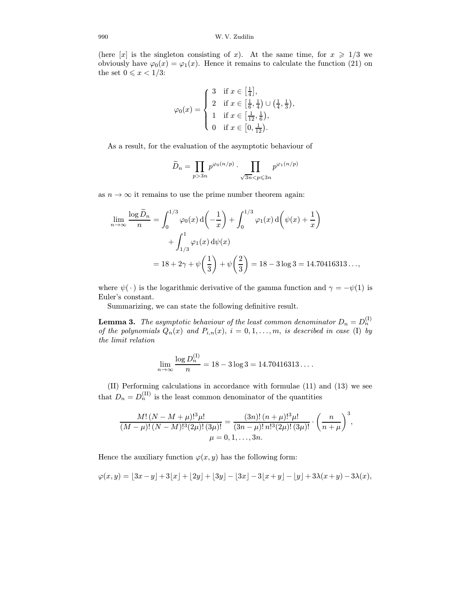### 990 W. V. Zudilin

(here [x] is the singleton consisting of x). At the same time, for  $x \geq 1/3$  we obviously have  $\varphi_0(x) = \varphi_1(x)$ . Hence it remains to calculate the function (21) on the set  $0 \leqslant x < 1/3$ :

$$
\varphi_0(x) = \begin{cases} 3 & \text{if } x \in \left[\frac{1}{4}\right], \\ 2 & \text{if } x \in \left[\frac{1}{6}, \frac{1}{4}\right) \cup \left(\frac{1}{4}, \frac{1}{3}\right), \\ 1 & \text{if } x \in \left[\frac{1}{12}, \frac{1}{6}\right), \\ 0 & \text{if } x \in \left[0, \frac{1}{12}\right). \end{cases}
$$

As a result, for the evaluation of the asymptotic behaviour of

$$
\widetilde{D}_n = \prod_{p>3n} p^{\varphi_0(n/p)} \cdot \prod_{\sqrt{3n} < p \leqslant 3n} p^{\varphi_1(n/p)}
$$

as  $n \to \infty$  it remains to use the prime number theorem again:

$$
\lim_{n \to \infty} \frac{\log \widetilde{D}_n}{n} = \int_0^{1/3} \varphi_0(x) d\left(-\frac{1}{x}\right) + \int_0^{1/3} \varphi_1(x) d\left(\psi(x) + \frac{1}{x}\right)
$$
  
+ 
$$
\int_{1/3}^1 \varphi_1(x) d\psi(x)
$$
  
=  $18 + 2\gamma + \psi\left(\frac{1}{3}\right) + \psi\left(\frac{2}{3}\right) = 18 - 3\log 3 = 14.70416313...$ 

where  $\psi(\cdot)$  is the logarithmic derivative of the gamma function and  $\gamma = -\psi(1)$  is Euler's constant.

Summarizing, we can state the following definitive result.

**Lemma 3.** The asymptotic behaviour of the least common denominator  $D_n = D_n^{(I)}$ of the polynomials  $Q_n(x)$  and  $P_{i,n}(x)$ ,  $i = 0, 1, \ldots, m$ , is described in case (I) by the limit relation

$$
\lim_{n \to \infty} \frac{\log D_n^{(1)}}{n} = 18 - 3 \log 3 = 14.70416313\dots
$$

(II) Performing calculations in accordance with formulae (11) and (13) we see that  $D_n = D_n^{\text{(II)}}$  is the least common denominator of the quantities

$$
\frac{M!\,(N-M+\mu)!^3\mu!}{(M-\mu)!\,(N-M)!^3(2\mu)!\,(3\mu)!} = \frac{(3n)!\,(n+\mu)!^3\mu!}{(3n-\mu)!\,n!^3(2\mu)!\,(3\mu)!} \cdot \left(\frac{n}{n+\mu}\right)^3,
$$
  

$$
\mu = 0, 1, \ldots, 3n.
$$

Hence the auxiliary function  $\varphi(x, y)$  has the following form:

$$
\varphi(x,y)=\lfloor 3x-y\rfloor+3\lfloor x\rfloor+\lfloor 2y\rfloor+\lfloor 3y\rfloor-\lfloor 3x\rfloor-3\lfloor x+y\rfloor-\lfloor y\rfloor+3\lambda(x+y)-3\lambda(x),
$$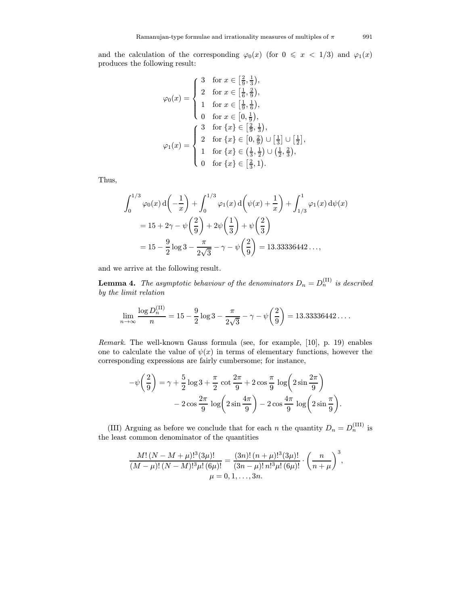and the calculation of the corresponding  $\varphi_0(x)$  (for  $0 \leq x < 1/3$ ) and  $\varphi_1(x)$ produces the following result:

$$
\varphi_0(x) = \begin{cases}\n3 & \text{for } x \in \left[\frac{2}{9}, \frac{1}{3}\right), \\
2 & \text{for } x \in \left[\frac{1}{6}, \frac{2}{9}\right), \\
1 & \text{for } x \in \left[\frac{1}{9}, \frac{1}{6}\right), \\
0 & \text{for } x \in \left[0, \frac{1}{9}\right), \\
2 & \text{for } \{x\} \in \left[\frac{2}{9}, \frac{1}{3}\right), \\
2 & \text{for } \{x\} \in \left[0, \frac{2}{9}\right) \cup \left[\frac{1}{3}\right] \cup \left[\frac{1}{2}\right], \\
1 & \text{for } \{x\} \in \left(\frac{1}{3}, \frac{1}{2}\right) \cup \left(\frac{1}{2}, \frac{2}{3}\right), \\
0 & \text{for } \{x\} \in \left[\frac{2}{3}, 1\right).\n\end{cases}
$$

Thus,

$$
\int_0^{1/3} \varphi_0(x) d\left(-\frac{1}{x}\right) + \int_0^{1/3} \varphi_1(x) d\left(\psi(x) + \frac{1}{x}\right) + \int_{1/3}^1 \varphi_1(x) d\psi(x)
$$
  
= 15 + 2 $\gamma$  -  $\psi\left(\frac{2}{9}\right)$  + 2 $\psi\left(\frac{1}{3}\right)$  +  $\psi\left(\frac{2}{3}\right)$   
= 15 -  $\frac{9}{2}$  log 3 -  $\frac{\pi}{2\sqrt{3}}$  -  $\gamma$  -  $\psi\left(\frac{2}{9}\right)$  = 13.33336442...,

and we arrive at the following result.

**Lemma 4.** The asymptotic behaviour of the denominators  $D_n = D_n^{\text{(II)}}$  is described by the limit relation

$$
\lim_{n \to \infty} \frac{\log D_n^{(\text{II})}}{n} = 15 - \frac{9}{2} \log 3 - \frac{\pi}{2\sqrt{3}} - \gamma - \psi\left(\frac{2}{9}\right) = 13.33336442\dots.
$$

Remark. The well-known Gauss formula (see, for example, [\[10\],](#page-15-0) p. 19) enables one to calculate the value of  $\psi(x)$  in terms of elementary functions, however the corresponding expressions are fairly cumbersome; for instance,

$$
-\psi\left(\frac{2}{9}\right) = \gamma + \frac{5}{2}\log 3 + \frac{\pi}{2}\cot\frac{2\pi}{9} + 2\cos\frac{\pi}{9}\log\left(2\sin\frac{2\pi}{9}\right)
$$

$$
-2\cos\frac{2\pi}{9}\log\left(2\sin\frac{4\pi}{9}\right) - 2\cos\frac{4\pi}{9}\log\left(2\sin\frac{\pi}{9}\right).
$$

(III) Arguing as before we conclude that for each n the quantity  $D_n = D_n^{\text{(III)}}$  is the least common denominator of the quantities

$$
\frac{M!\,(N-M+\mu)!^3(3\mu)!}{(M-\mu)!\,(N-M)!^3\mu! \, (6\mu)!} = \frac{(3n)!\,(n+\mu)!^3(3\mu)!}{(3n-\mu)!\,n!^3\mu! \, (6\mu)!} \cdot \left(\frac{n}{n+\mu}\right)^3,
$$
  

$$
\mu = 0, 1, \ldots, 3n.
$$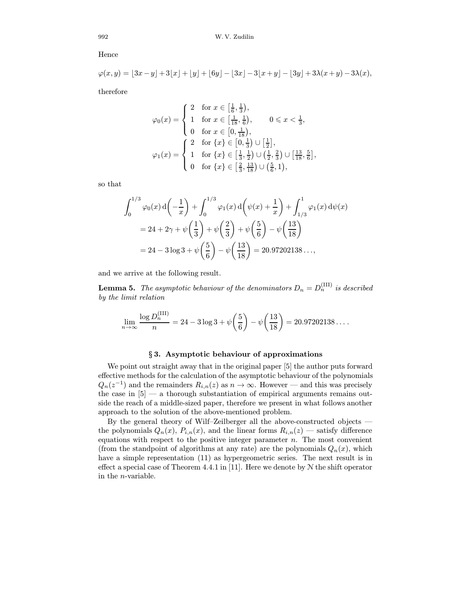Hence

$$
\varphi(x,y) = [3x - y] + 3\lfloor x \rfloor + \lfloor y \rfloor + [6y] - [3x] - 3\lfloor x + y \rfloor - [3y] + 3\lambda(x+y) - 3\lambda(x),
$$

therefore

$$
\varphi_0(x) = \begin{cases} 2 & \text{for } x \in \left[\frac{1}{6}, \frac{1}{3}\right), \\ 1 & \text{for } x \in \left[\frac{1}{18}, \frac{1}{6}\right), \\ 0 & \text{for } x \in \left[0, \frac{1}{18}\right), \\ 2 & \text{for } \{x\} \in \left[0, \frac{1}{3}\right) \cup \left[\frac{1}{2}\right], \\ 1 & \text{for } \{x\} \in \left[\frac{1}{3}, \frac{1}{2}\right) \cup \left(\frac{1}{2}, \frac{2}{3}\right) \cup \left[\frac{13}{18}, \frac{5}{6}\right] \\ 0 & \text{for } \{x\} \in \left[\frac{2}{3}, \frac{13}{18}\right) \cup \left(\frac{5}{6}, 1\right), \end{cases}
$$

,

so that

$$
\int_0^{1/3} \varphi_0(x) d\left(-\frac{1}{x}\right) + \int_0^{1/3} \varphi_1(x) d\left(\psi(x) + \frac{1}{x}\right) + \int_{1/3}^1 \varphi_1(x) d\psi(x)
$$
  
= 24 + 2 $\gamma$  +  $\psi\left(\frac{1}{3}\right)$  +  $\psi\left(\frac{2}{3}\right)$  +  $\psi\left(\frac{5}{6}\right)$  -  $\psi\left(\frac{13}{18}\right)$   
= 24 - 3 log 3 +  $\psi\left(\frac{5}{6}\right)$  -  $\psi\left(\frac{13}{18}\right)$  = 20.97202138...,

and we arrive at the following result.

**Lemma 5.** The asymptotic behaviour of the denominators  $D_n = D_n^{\text{(III)}}$  is described by the limit relation

$$
\lim_{n \to \infty} \frac{\log D_n^{(\text{III})}}{n} = 24 - 3\log 3 + \psi\left(\frac{5}{6}\right) - \psi\left(\frac{13}{18}\right) = 20.97202138\dots.
$$

#### § 3. Asymptotic behaviour of approximations

We point out straight away that in the original paper [\[5\]](#page-14-0) the author puts forward effective methods for the calculation of the asymptotic behaviour of the polynomials  $Q_n(z^{-1})$  and the remainders  $R_{i,n}(z)$  as  $n \to \infty$ . However — and this was precisely the case in  $[5]$  — a thorough substantiation of empirical arguments remains outside the reach of a middle-sized paper, therefore we present in what follows another approach to the solution of the above-mentioned problem.

By the general theory of Wilf–Zeilberger all the above-constructed objects the polynomials  $Q_n(x)$ ,  $P_{i,n}(x)$ , and the linear forms  $R_{i,n}(z)$  — satisfy difference equations with respect to the positive integer parameter  $n$ . The most convenient (from the standpoint of algorithms at any rate) are the polynomials  $Q_n(x)$ , which have a simple representation (11) as hypergeometric series. The next result is in effect a special case of Theorem 4.4.1 in [\[11\].](#page-15-0) Here we denote by  $N$  the shift operator in the n-variable.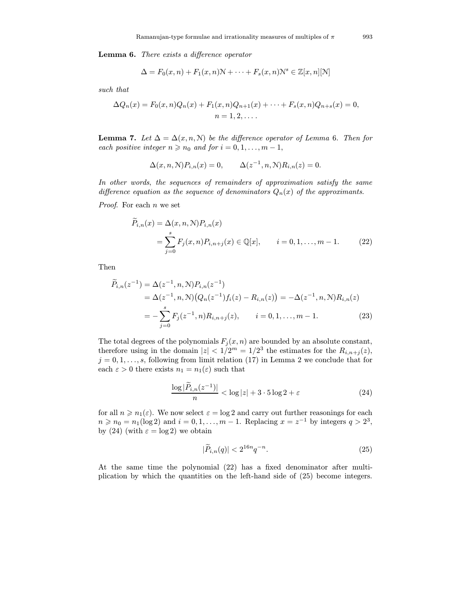Lemma 6. There exists a difference operator

$$
\Delta = F_0(x, n) + F_1(x, n) \mathcal{N} + \dots + F_s(x, n) \mathcal{N}^s \in \mathbb{Z}[x, n][\mathcal{N}]
$$

such that

$$
\Delta Q_n(x) = F_0(x, n)Q_n(x) + F_1(x, n)Q_{n+1}(x) + \cdots + F_s(x, n)Q_{n+s}(x) = 0,
$$
  
\n
$$
n = 1, 2, \ldots.
$$

**Lemma 7.** Let  $\Delta = \Delta(x, n, N)$  be the difference operator of Lemma 6. Then for each positive integer  $n \ge n_0$  and for  $i = 0, 1, \ldots, m - 1$ ,

$$
\Delta(x, n, \mathcal{N}) P_{i,n}(x) = 0, \qquad \Delta(z^{-1}, n, \mathcal{N}) R_{i,n}(z) = 0.
$$

In other words, the sequences of remainders of approximation satisfy the same difference equation as the sequence of denominators  $Q_n(x)$  of the approximants.

*Proof.* For each  $n$  we set

$$
\widetilde{P}_{i,n}(x) = \Delta(x, n, \mathcal{N}) P_{i,n}(x)
$$
\n
$$
= \sum_{j=0}^{s} F_j(x, n) P_{i,n+j}(x) \in \mathbb{Q}[x], \qquad i = 0, 1, \dots, m - 1. \tag{22}
$$

Then

$$
\widetilde{P}_{i,n}(z^{-1}) = \Delta(z^{-1}, n, \mathcal{N}) P_{i,n}(z^{-1}) \n= \Delta(z^{-1}, n, \mathcal{N}) (Q_n(z^{-1}) f_i(z) - R_{i,n}(z)) = -\Delta(z^{-1}, n, \mathcal{N}) R_{i,n}(z) \n= -\sum_{j=0}^s F_j(z^{-1}, n) R_{i,n+j}(z), \qquad i = 0, 1, ..., m - 1.
$$
\n(23)

The total degrees of the polynomials  $F_i(x, n)$  are bounded by an absolute constant, therefore using in the domain  $|z| < 1/2^m = 1/2^3$  the estimates for the  $R_{i,n+j}(z)$ ,  $j = 0, 1, \ldots, s$ , following from limit relation (17) in Lemma 2 we conclude that for each  $\varepsilon > 0$  there exists  $n_1 = n_1(\varepsilon)$  such that

$$
\frac{\log|\widetilde{P}_{i,n}(z^{-1})|}{n} < \log|z| + 3 \cdot 5 \log 2 + \varepsilon \tag{24}
$$

for all  $n \geq n_1(\varepsilon)$ . We now select  $\varepsilon = \log 2$  and carry out further reasonings for each  $n \geq n_0 = n_1(\log 2)$  and  $i = 0, 1, \ldots, m - 1$ . Replacing  $x = z^{-1}$  by integers  $q > 2^3$ , by (24) (with  $\varepsilon = \log 2$ ) we obtain

$$
|\widetilde{P}_{i,n}(q)| < 2^{16n}q^{-n}.\tag{25}
$$

At the same time the polynomial (22) has a fixed denominator after multiplication by which the quantities on the left-hand side of (25) become integers.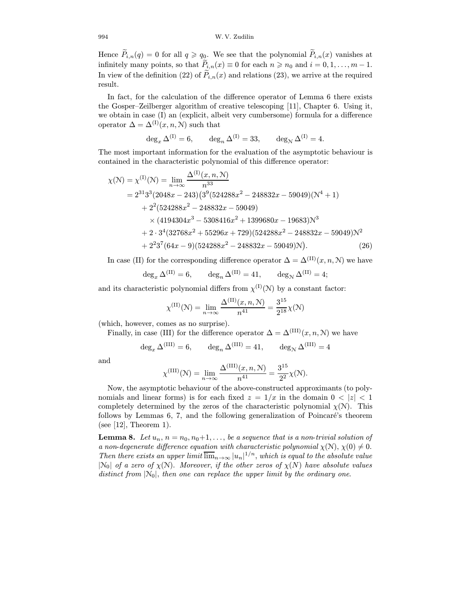Hence  $P_{i,n}(q) = 0$  for all  $q \geqslant q_0$ . We see that the polynomial  $P_{i,n}(x)$  vanishes at infinitely many points, so that  $P_{i,n}(x) \equiv 0$  for each  $n \geq n_0$  and  $i = 0, 1, \ldots, m - 1$ . In view of the definition (22) of  $P_{i,n}(x)$  and relations (23), we arrive at the required result.

In fact, for the calculation of the difference operator of Lemma 6 there exists the Gosper–Zeilberger algorithm of creative telescoping [\[11\],](#page-15-0) Chapter 6. Using it, we obtain in case (I) an (explicit, albeit very cumbersome) formula for a difference operator  $\Delta = \Delta^{(1)}(x, n, \mathcal{N})$  such that

$$
\deg_x \Delta^{(I)} = 6, \qquad \deg_n \Delta^{(I)} = 33, \qquad \deg_\mathcal{N} \Delta^{(I)} = 4.
$$

The most important information for the evaluation of the asymptotic behaviour is contained in the characteristic polynomial of this difference operator:

$$
\chi(\mathcal{N}) = \chi^{(1)}(\mathcal{N}) = \lim_{n \to \infty} \frac{\Delta^{(1)}(x, n, \mathcal{N})}{n^{33}}
$$
  
=  $2^{31}3^3(2048x - 243)(3^9(524288x^2 - 248832x - 59049)(\mathcal{N}^4 + 1)$   
+  $2^2(524288x^2 - 248832x - 59049)$   
 $\times (4194304x^3 - 5308416x^2 + 1399680x - 19683)\mathcal{N}^3$   
+  $2 \cdot 3^4(32768x^2 + 55296x + 729)(524288x^2 - 248832x - 59049)\mathcal{N}^2$   
+  $2^23^7(64x - 9)(524288x^2 - 248832x - 59049)\mathcal{N}).$  (26)

In case (II) for the corresponding difference operator  $\Delta = \Delta^{(II)}(x, n, \mathcal{N})$  we have

$$
\deg_x \Delta^{(\text{II})} = 6, \qquad \deg_n \Delta^{(\text{II})} = 41, \qquad \deg_\mathcal{N} \Delta^{(\text{II})} = 4;
$$

and its characteristic polynomial differs from  $\chi^{(1)}(\mathcal{N})$  by a constant factor:

$$
\chi^{(\text{II})}(\mathcal{N}) = \lim_{n \to \infty} \frac{\Delta^{(\text{II})}(x, n, \mathcal{N})}{n^{41}} = \frac{3^{15}}{2^{18}} \chi(\mathcal{N})
$$

(which, however, comes as no surprise).

Finally, in case (III) for the difference operator  $\Delta = \Delta^{(III)}(x, n, \mathcal{N})$  we have

$$
\deg_x \Delta^{\text{(III)}} = 6, \qquad \deg_n \Delta^{\text{(III)}} = 41, \qquad \deg_\mathcal{N} \Delta^{\text{(III)}} = 4
$$

and

$$
\chi^{(\text{III})}(\mathcal{N}) = \lim_{n \to \infty} \frac{\Delta^{(\text{III})}(x, n, \mathcal{N})}{n^{41}} = \frac{3^{15}}{2^2} \chi(\mathcal{N}).
$$

Now, the asymptotic behaviour of the above-constructed approximants (to polynomials and linear forms) is for each fixed  $z = 1/x$  in the domain  $0 < |z| < 1$ completely determined by the zeros of the characteristic polynomial  $\chi(\mathcal{N})$ . This follows by Lemmas  $6, 7$ , and the following generalization of Poincaré's theorem (see [\[12\],](#page-15-0) Theorem 1).

**Lemma 8.** Let  $u_n$ ,  $n = n_0, n_0+1, \ldots$ , be a sequence that is a non-trivial solution of a non-degenerate difference equation with characteristic polynomial  $\chi(\mathcal{N}), \chi(0) \neq 0$ . Then there exists an upper limit  $\overline{\lim}_{n\to\infty} |u_n|^{1/n}$ , which is equal to the absolute value  $|N_0|$  of a zero of  $\chi(N)$ . Moreover, if the other zeros of  $\chi(N)$  have absolute values distinct from  $|\mathcal{N}_0|$ , then one can replace the upper limit by the ordinary one.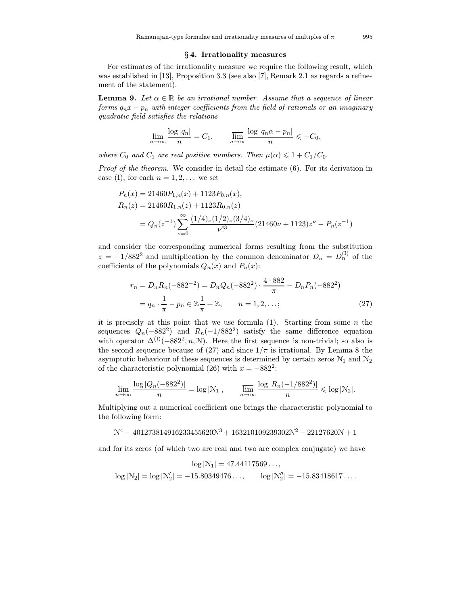### § 4. Irrationality measures

For estimates of the irrationality measure we require the following result, which was established in [\[13\],](#page-15-0) Proposition 3.3 (see also [\[7\],](#page-15-0) Remark 2.1 as regards a refinement of the statement).

**Lemma 9.** Let  $\alpha \in \mathbb{R}$  be an irrational number. Assume that a sequence of linear forms  $q_n x - p_n$  with integer coefficients from the field of rationals or an imaginary quadratic field satisfies the relations

$$
\lim_{n \to \infty} \frac{\log |q_n|}{n} = C_1, \qquad \frac{\lim_{n \to \infty} \frac{\log |q_n \alpha - p_n|}{n} \leq -C_0,
$$

where  $C_0$  and  $C_1$  are real positive numbers. Then  $\mu(\alpha) \leq 1 + C_1/C_0$ .

Proof of the theorem. We consider in detail the estimate  $(6)$ . For its derivation in case (I), for each  $n = 1, 2, \ldots$  we set

$$
P_n(x) = 21460 P_{1,n}(x) + 1123 P_{0,n}(x),
$$
  
\n
$$
R_n(z) = 21460 R_{1,n}(z) + 1123 R_{0,n}(z)
$$
  
\n
$$
= Q_n(z^{-1}) \sum_{\nu=0}^{\infty} \frac{(1/4)_{\nu} (1/2)_{\nu} (3/4)_{\nu}}{\nu!^{3}} (21460\nu + 1123) z^{\nu} - P_n(z^{-1})
$$

and consider the corresponding numerical forms resulting from the substitution  $z = -1/882^2$  and multiplication by the common denominator  $D_n = D_n^{(I)}$  of the coefficients of the polynomials  $Q_n(x)$  and  $P_n(x)$ :

$$
r_n = D_n R_n(-882^{-2}) = D_n Q_n(-882^2) \cdot \frac{4 \cdot 882}{\pi} - D_n P_n(-882^2)
$$
  
=  $q_n \cdot \frac{1}{\pi} - p_n \in \mathbb{Z} \frac{1}{\pi} + \mathbb{Z}, \qquad n = 1, 2, \dots;$  (27)

it is precisely at this point that we use formula  $(1)$ . Starting from some n the sequences  $Q_n(-882^2)$  and  $R_n(-1/882^2)$  satisfy the same difference equation with operator  $\Delta^{(I)}(-882^2, n, N)$ . Here the first sequence is non-trivial; so also is the second sequence because of (27) and since  $1/\pi$  is irrational. By Lemma 8 the asymptotic behaviour of these sequences is determined by certain zeros  $\mathcal{N}_1$  and  $\mathcal{N}_2$ of the characteristic polynomial (26) with  $x = -882^2$ :

$$
\lim_{n\to\infty}\frac{\log|Q_n(-882^2)|}{n}=\log|\mathcal{N}_1|,\qquad \lim_{n\to\infty}\frac{\log|R_n(-1/882^2)|}{n}\leqslant \log|\mathcal{N}_2|.
$$

Multiplying out a numerical coefficient one brings the characteristic polynomial to the following form:

$$
\mathcal{N}^4-401273814916233455620 \mathcal{N}^3+163210109239302 \mathcal{N}^2-22127620 \mathcal{N}+1
$$

and for its zeros (of which two are real and two are complex conjugate) we have

$$
\log |\mathcal{N}_1| = 47.44117569\dots,
$$
  

$$
\log |\mathcal{N}_2| = \log |\mathcal{N}_2'| = -15.80349476\dots, \qquad \log |\mathcal{N}_2''| = -15.83418617\dots.
$$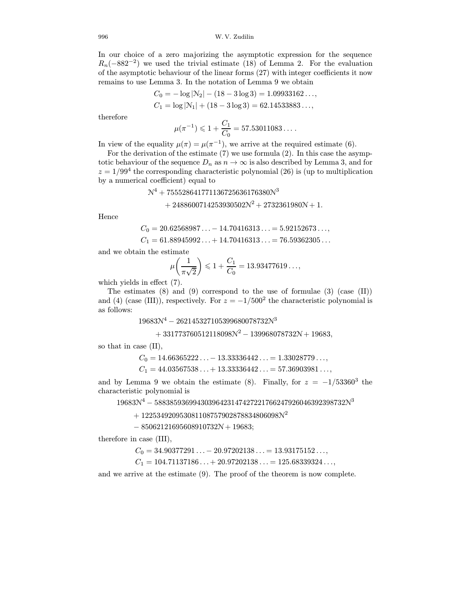In our choice of a zero majorizing the asymptotic expression for the sequence  $R_n(-882^{-2})$  we used the trivial estimate (18) of Lemma 2. For the evaluation of the asymptotic behaviour of the linear forms (27) with integer coefficients it now remains to use Lemma 3. In the notation of Lemma 9 we obtain

$$
C_0 = -\log |\mathcal{N}_2| - (18 - 3 \log 3) = 1.09933162...,
$$
  
\n
$$
C_1 = \log |\mathcal{N}_1| + (18 - 3 \log 3) = 62.14533883...,
$$

therefore

$$
\mu(\pi^{-1}) \leq 1 + \frac{C_1}{C_0} = 57.53011083\dots.
$$

In view of the equality  $\mu(\pi) = \mu(\pi^{-1})$ , we arrive at the required estimate (6).

For the derivation of the estimate (7) we use formula (2). In this case the asymptotic behaviour of the sequence  $D_n$  as  $n \to \infty$  is also described by Lemma 3, and for  $z = 1/99<sup>4</sup>$  the corresponding characteristic polynomial (26) is (up to multiplication by a numerical coefficient) equal to

> $N^4 + 755528641771136725636176380N^3$  $+ 2488600714253930502N^2 + 2732361980N + 1.$

Hence

$$
C_0 = 20.62568987... - 14.70416313... = 5.92152673...,
$$
  
\n
$$
C_1 = 61.88945992... + 14.70416313... = 76.59362305...
$$

and we obtain the estimate

$$
\mu\bigg(\frac{1}{\pi\sqrt{2}}\bigg) \leqslant 1 + \frac{C_1}{C_0} = 13.93477619\ldots,
$$

which yields in effect (7).

The estimates  $(8)$  and  $(9)$  correspond to the use of formulae  $(3)$  (case  $(II)$ ) and (4) (case (III)), respectively. For  $z = -1/500^2$  the characteristic polynomial is as follows:

 $19683N^4 - 262145327105399680078732N^3$ 

 $+ 331773760512118098\mathcal{N}^2 - 139968078732\mathcal{N} + 19683,$ 

so that in case (II),

 $C_0 = 14.66365222... - 13.33336442... = 1.33028779...$  $C_1 = 44.03567538... + 13.33336442... = 57.36903981...,$ 

and by Lemma 9 we obtain the estimate (8). Finally, for  $z = -1/53360^3$  the characteristic polynomial is

 $19683N^4 - 58838593699430396423147427221766247926046392398732N^3$ 

 $+ 122534920953081108757902878834806098N^2$ 

 $- 85062121695608910732N + 19683;$ 

therefore in case (III),

$$
C_0 = 34.90377291\ldots - 20.97202138\ldots = 13.93175152\ldots,
$$

 $C_1 = 104.71137186... + 20.97202138... = 125.68339324...,$ 

and we arrive at the estimate (9). The proof of the theorem is now complete.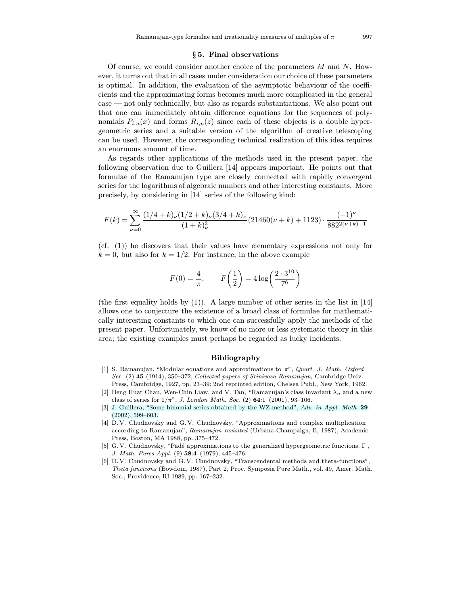#### § 5. Final observations

<span id="page-14-0"></span>Of course, we could consider another choice of the parameters  $M$  and  $N$ . However, it turns out that in all cases under consideration our choice of these parameters is optimal. In addition, the evaluation of the asymptotic behaviour of the coefficients and the approximating forms becomes much more complicated in the general case — not only technically, but also as regards substantiations. We also point out that one can immediately obtain difference equations for the sequences of polynomials  $P_{i,n}(x)$  and forms  $R_{i,n}(z)$  since each of these objects is a double hypergeometric series and a suitable version of the algorithm of creative telescoping can be used. However, the corresponding technical realization of this idea requires an enormous amount of time.

As regards other applications of the methods used in the present paper, the following observation due to Guillera [\[14\]](#page-15-0) appears important. He points out that formulae of the Ramanujan type are closely connected with rapidly convergent series for the logarithms of algebraic numbers and other interesting constants. More precisely, by considering in [\[14\]](#page-15-0) series of the following kind:

$$
F(k) = \sum_{\nu=0}^{\infty} \frac{(1/4 + k)\nu (1/2 + k)\nu (3/4 + k)\nu}{(1 + k)_{\nu}^3} (21460(\nu + k) + 1123) \cdot \frac{(-1)^{\nu}}{882^{2(\nu + k) + 1}}
$$

(cf. (1)) he discovers that their values have elementary expressions not only for  $k = 0$ , but also for  $k = 1/2$ . For instance, in the above example

$$
F(0) = \frac{4}{\pi}, \qquad F\left(\frac{1}{2}\right) = 4\log\left(\frac{2 \cdot 3^{10}}{7^6}\right)
$$

(the first equality holds by  $(1)$ ). A large number of other series in the list in [\[14\]](#page-15-0) allows one to conjecture the existence of a broad class of formulae for mathematically interesting constants to which one can successfully apply the methods of the present paper. Unfortunately, we know of no more or less systematic theory in this area; the existing examples must perhaps be regarded as lucky incidents.

### Bibliography

- [1] S. Ramanujan, "Modular equations and approximations to  $\pi$ ", *Quart. J. Math. Oxford* Ser. (2) 45 (1914), 350–372; Collected papers of Srinivasa Ramanujan, Cambridge Univ. Press, Cambridge, 1927, pp. 23–39; 2nd reprinted edition, Chelsea Publ., New York, 1962.
- [2] Heng Huat Chan, Wen-Chin Liaw, and V. Tan, "Ramanujan's class invariant  $\lambda_n$  and a new class of series for  $1/\pi$ ", J. London Math. Soc. (2) 64:1 (2001), 93-106.
- [\[3\] J. Guillera, "Some binomial series obtained by the WZ-method",](http://dx.doi.org/10.1016/S0196-8858(02)00034-9) Adv. in Appl. Math. 29 (2002), 599–603.
- [4] D. V. Chudnovsky and G. V. Chudnovsky, "Approximations and complex multiplication according to Ramanujan", Ramanujan revisited (Urbana-Champaign, Il, 1987), Academic Press, Boston, MA 1988, pp. 375–472.
- [5] G. V. Chudnovsky, "Padé approximations to the generalized hypergeometric functions. I", J. Math. Pures Appl. (9) 58:4 (1979), 445–476.
- [6] D. V. Chudnovsky and G. V. Chudnovsky, "Transcendental methods and theta-functions", Theta functions (Bowdoin, 1987), Part 2, Proc. Symposia Pure Math., vol. 49, Amer. Math. Soc., Providence, RI 1989, pp. 167–232.